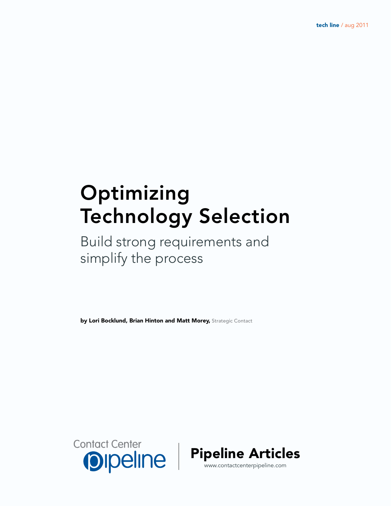# Optimizing Technology Selection

## Build strong requirements and simplify the process

by Lori Bocklund, Brian Hinton and Matt Morey, Strategic Contact



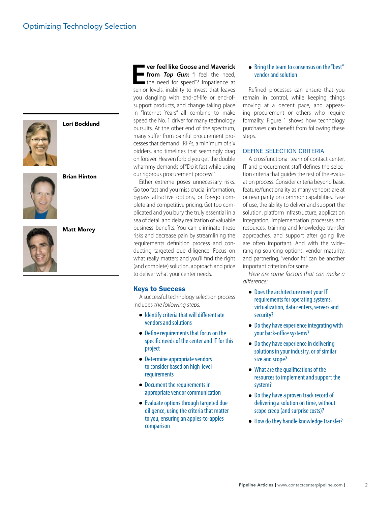

Lori Bocklund

Brian Hinton

Matt Morey

**Example 12 Senior Correct Senior Control of the senior levels, inability to invest that leaves ver feel like Goose and Maverick from** *Top Gun:* "I feel the need, the need for speed"? Impatience at you dangling with end-of-life or end-ofsupport products, and change taking place in "Internet Years" all combine to make speed the No. 1 driver for many technology pursuits. At the other end of the spectrum, many suffer from painful procurement processes that demand RFPs, a minimum of six bidders, and timelines that seemingly drag on forever. Heaven forbid you get the double whammy demands of "Do it fast while using our rigorous procurement process!"

Either extreme poses unnecessary risks. Go too fast and you miss crucial information, bypass attractive options, or forego complete and competitive pricing. Get too complicated and you bury the truly essential in a sea of detail and delay realization of valuable business benefits. You can eliminate these risks and decrease pain by streamlining the requirements definition process and conducting targeted due diligence. Focus on what really matters and you'll find the right (and complete) solution, approach and price to deliver what your center needs.

#### Keys to Success

A successful technology selection process includes *the following steps:*

- Identify criteria that will differentiate vendors and solutions
- Define requirements that focus on the specific needs of the center and IT for this project
- Determine appropriate vendors to consider based on high-level requirements
- Document the requirements in appropriate vendor communication
- Evaluate options through targeted due diligence, using the criteria that matter to you, ensuring an apples-to-apples comparison

#### ● Bring the team to consensus on the "best" vendor and solution

Refined processes can ensure that you remain in control, while keeping things moving at a decent pace, and appeasing procurement or others who require formality. Figure 1 shows how technology purchases can benefit from following these steps.

#### DEFINE SELECTION CRITERIA

A crossfunctional team of contact center, IT and procurement staff defines the selection criteria that guides the rest of the evaluation process. Consider criteria beyond basic feature/functionality as many vendors are at or near parity on common capabilities. Ease of use, the ability to deliver and support the solution, platform infrastructure, application integration, implementation processes and resources, training and knowledge transfer approaches, and support after going live are often important. And with the wideranging sourcing options, vendor maturity, and partnering, "vendor fit" can be another important criterion for some.

*Here are some factors that can make a difference:*

- Does the architecture meet your IT requirements for operating systems, virtualization, data centers, servers and security?
- Do they have experience integrating with your back-office systems?
- Do they have experience in delivering solutions in your industry, or of similar size and scope?
- What are the qualifications of the resources to implement and support the system?
- Do they have a proven track record of delivering a solution on time, without scope creep (and surprise costs)?
- How do they handle knowledge transfer?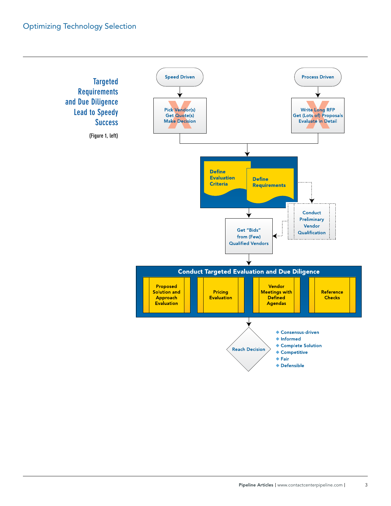### Optimizing Technology Selection

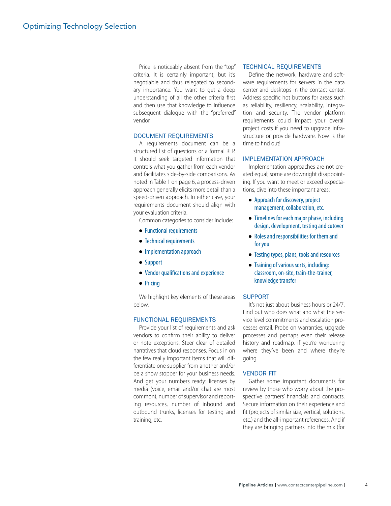Price is noticeably absent from the "top" criteria. It is certainly important, but it's negotiable and thus relegated to secondary importance. You want to get a deep understanding of all the other criteria first and then use that knowledge to influence subsequent dialogue with the "preferred" vendor.

#### Document requirements

A requirements document can be a structured list of questions or a formal RFP. It should seek targeted information that controls what you gather from each vendor and facilitates side-by-side comparisons. As noted in Table 1 on page 6, a process-driven approach generally elicits more detail than a speed-driven approach. In either case, your requirements document should align with your evaluation criteria.

Common categories to consider include:

- Functional requirements
- Technical requirements
- Implementation approach
- Support
- Vendor qualifications and experience
- Pricing

We highlight key elements of these areas below.

#### Functional Requirements

Provide your list of requirements and ask vendors to confirm their ability to deliver or note exceptions. Steer clear of detailed narratives that cloud responses. Focus in on the few really important items that will differentiate one supplier from another and/or be a show stopper for your business needs. And get your numbers ready: licenses by media (voice, email and/or chat are most common), number of supervisor and reporting resources, number of inbound and outbound trunks, licenses for testing and training, etc.

#### Technical Requirements

Define the network, hardware and software requirements for servers in the data center and desktops in the contact center. Address specific hot buttons for areas such as reliability, resiliency, scalability, integration and security. The vendor platform requirements could impact your overall project costs if you need to upgrade infrastructure or provide hardware. Now is the time to find out!

#### Implementation Approach

Implementation approaches are not created equal; some are downright disappointing. If you want to meet or exceed expectations, dive into these important areas:

- Approach for discovery, project management, collaboration, etc.
- Timelines for each major phase, including design, development, testing and cutover
- Roles and responsibilities for them and for you
- Testing types, plans, tools and resources
- Training of various sorts, including: classroom, on-site, train-the-trainer, knowledge transfer

#### **SUPPORT**

It's not just about business hours or 24/7. Find out who does what and what the service level commitments and escalation processes entail. Probe on warranties, upgrade processes and perhaps even their release history and roadmap, if you're wondering where they've been and where they're going.

#### Vendor Fit

Gather some important documents for review by those who worry about the prospective partners' financials and contracts. Secure information on their experience and fit (projects of similar size, vertical, solutions, etc.) and the all-important references. And if they are bringing partners into the mix (for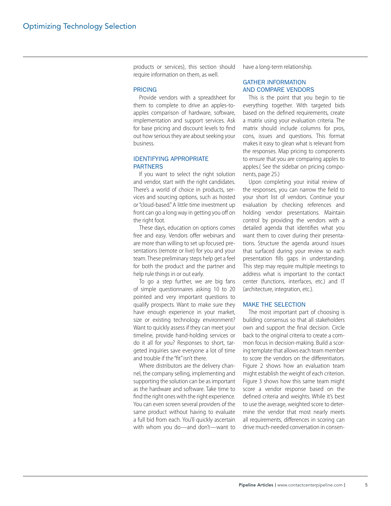products or services), this section should require information on them, as well.

#### **PRICING**

Provide vendors with a spreadsheet for them to complete to drive an apples-toapples comparison of hardware, software, implementation and support services. Ask for base pricing and discount levels to find out how serious they are about seeking your business.

#### Identifying appropriate **PARTNERS**

If you want to select the right solution and vendor, start with the right candidates. There's a world of choice in products, services and sourcing options, such as hosted or "cloud-based." A little time investment up front can go a long way in getting you off on the right foot.

These days, education on options comes free and easy. Vendors offer webinars and are more than willing to set up focused presentations (remote or live) for you and your team. These preliminary steps help get a feel for both the product and the partner and help rule things in or out early.

To go a step further, we are big fans of simple questionnaires asking 10 to 20 pointed and very important questions to qualify prospects. Want to make sure they have enough experience in your market, size or existing technology environment? Want to quickly assess if they can meet your timeline, provide hand-holding services or do it all for you? Responses to short, targeted inquiries save everyone a lot of time and trouble if the "fit" isn't there.

Where distributors are the delivery channel, the company selling, implementing and supporting the solution can be as important as the hardware and software. Take time to find the right ones with the right experience. You can even screen several providers of the same product without having to evaluate a full bid from each. You'll quickly ascertain with whom you do—and don't—want to have a long-term relationship.

#### Gather information and compare vendors

This is the point that you begin to tie everything together. With targeted bids based on the defined requirements, create a matrix using your evaluation criteria. The matrix should include columns for pros, cons, issues and questions. This format makes it easy to glean what is relevant from the responses. Map pricing to components to ensure that you are comparing apples to apples.( See the sidebar on pricing components, page 25.)

Upon completing your initial review of the responses, you can narrow the field to your short list of vendors. Continue your evaluation by checking references and holding vendor presentations. Maintain control by providing the vendors with a detailed agenda that identifies what you want them to cover during their presentations. Structure the agenda around issues that surfaced during your review so each presentation fills gaps in understanding. This step may require multiple meetings to address what is important to the contact center (functions, interfaces, etc.) and IT (architecture, integration, etc.).

#### Make the selection

The most important part of choosing is building consensus so that all stakeholders own and support the final decision. Circle back to the original criteria to create a common focus in decision-making. Build a scoring template that allows each team member to score the vendors on the differentiators. Figure 2 shows how an evaluation team might establish the weight of each criterion. Figure 3 shows how this same team might score a vendor response based on the defined criteria and weights. While it's best to use the average, weighted score to determine the vendor that most nearly meets all requirements, differences in scoring can drive much-needed conversation in consen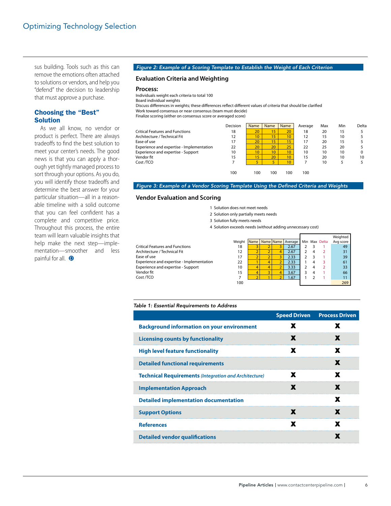sus building. Tools such as this can remove the emotions often attached to solutions or vendors, and help you "defend" the decision to leadership that must approve a purchase.

#### Choosing the "Best" Solution

As we all know, no vendor or product is perfect. There are always tradeoffs to find the best solution to meet your center's needs. The good news is that you can apply a thorough yet tightly managed process to sort through your options. As you do, you will identify those tradeoffs and determine the best answer for your particular situation—all in a reasonable timeline with a solid outcome that you can feel confident has a complete and competitive price. Throughout this process, the entire team will learn valuable insights that help make the next step—implementation—smoother and less painful for all.  $\bullet$ 

#### *Figure 2: Example of a Scoring Template to Establish the Weight of Each Criterion*

#### **Evaluation Criteria and Weighting**

#### **Process:**

Individuals weight each criteria to total 100 Board individual weights Discuss differences in weights; these differences reflect different values of criteria that should be clarified Work toward consensus or near consensus (team must decide) Finalize scoring (either on consensus score or averaged score)

|                                           | Decision | Name            | Name             | Name | Average | Max | Min | Delta |
|-------------------------------------------|----------|-----------------|------------------|------|---------|-----|-----|-------|
| <b>Critical Features and Functions</b>    | 18       | 20              | 15 <sup>°</sup>  | 20   | 18      | 20  | 15  |       |
| Architecture / Technical Fit              | 12       | 10              | 15               | 10   | 12      | 15  | 10  |       |
| Ease of use                               | 17       | 20              | 15               | 15   | 17      | 20  | 15  |       |
| Experience and expertise - Implementation | 22       | 20              | 20               | 25   | 22      | 25  | 20  |       |
| Experience and expertise - Support        | 10       | 10 <sup>1</sup> | 10 <sup>10</sup> | 10   | 10      | 10  | 10  |       |
| Vendor fit                                | 15       | 15 <sup>1</sup> | 20               | 10   | 15      | 20  | 10  | 10    |
| Cost /TCO                                 |          |                 | 5                | 10   |         | 10  |     |       |
|                                           | 100      | 100             | 100              | 100  | 100     |     |     |       |

#### *Figure 3: Example of a Vendor Scoring Template Using the Defined Criteria and Weights*

#### **Vendor Evaluation and Scoring**

- 1 Solution does not meet needs
- 2 Solution only partially meets needs
- 3 Solution fully meets needs
- 4 Solution exceeds needs (without adding unnecessary cost)

|                                           |        |   |   |                              |   |                | Weighted  |
|-------------------------------------------|--------|---|---|------------------------------|---|----------------|-----------|
|                                           | Weight |   |   | Name   Name   Name   Average |   | Min Max Delta  | Avg score |
| Critical Features and Functions           | 18     |   |   | 2.67                         |   |                | 49        |
| Architecture / Technical Fit              | 12     |   |   | 2.67                         |   | 2              | 31        |
| Ease of use                               | 17     |   |   | 2.33                         |   |                | 39        |
| Experience and expertise - Implementation | 22     |   | 4 | 2.33                         |   | 3              | 61        |
| <b>Experience and expertise - Support</b> | 10     | 4 | 4 | 3.33                         |   | $\overline{2}$ | 33        |
| Vendor fit                                | 15     | 4 |   | 3.67                         | 4 |                | 66        |
| Cost /TCO                                 |        |   |   | 1.67                         |   |                |           |
|                                           | 100    |   |   |                              |   |                | 269       |

#### *Table 1: Essential Requirements to Address*

|                                                              | <b>Speed Driven</b> Process Driven |
|--------------------------------------------------------------|------------------------------------|
| <b>Background information on your environment</b>            |                                    |
| <b>Licensing counts by functionality</b>                     |                                    |
| <b>High level feature functionality</b>                      |                                    |
| <b>Detailed functional requirements</b>                      |                                    |
| <b>Technical Requirements (Integration and Architecture)</b> |                                    |
| <b>Implementation Approach</b>                               |                                    |
| <b>Detailed implementation documentation</b>                 |                                    |
| <b>Support Options</b>                                       |                                    |
| <b>References</b>                                            |                                    |
| <b>Detailed vendor qualifications</b>                        |                                    |